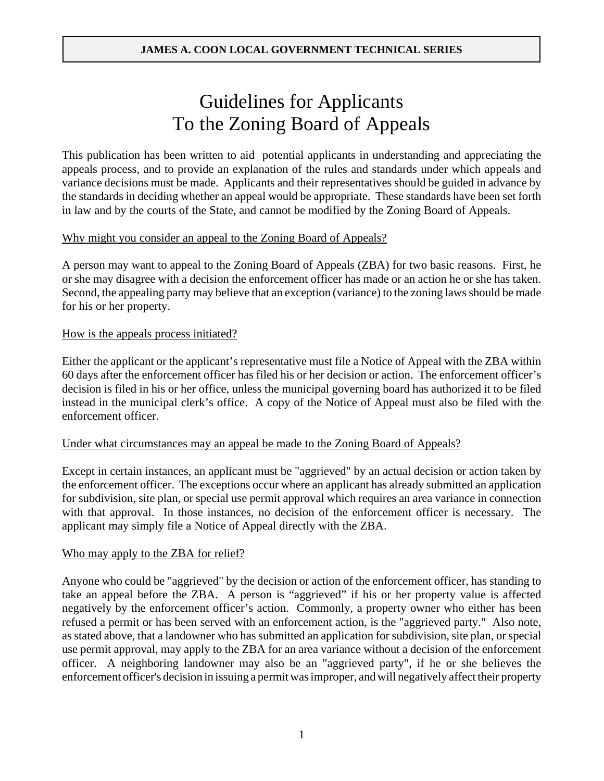# Guidelines for Applicants To the Zoning Board of Appeals

This publication has been written to aid potential applicants in understanding and appreciating the appeals process, and to provide an explanation of the rules and standards under which appeals and variance decisions must be made. Applicants and their representatives should be guided in advance by the standards in deciding whether an appeal would be appropriate. These standards have been set forth in law and by the courts of the State, and cannot be modified by the Zoning Board of Appeals.

## Why might you consider an appeal to the Zoning Board of Appeals?

A person may want to appeal to the Zoning Board of Appeals (ZBA) for two basic reasons. First, he or she may disagree with a decision the enforcement officer has made or an action he or she has taken. Second, the appealing party may believe that an exception (variance) to the zoning laws should be made for his or her property.

## How is the appeals process initiated?

Either the applicant or the applicant's representative must file a Notice of Appeal with the ZBA within 60 days after the enforcement officer has filed his or her decision or action. The enforcement officer's decision is filed in his or her office, unless the municipal governing board has authorized it to be filed instead in the municipal clerk's office. A copy of the Notice of Appeal must also be filed with the enforcement officer.

## Under what circumstances may an appeal be made to the Zoning Board of Appeals?

Except in certain instances, an applicant must be "aggrieved" by an actual decision or action taken by the enforcement officer. The exceptions occur where an applicant has already submitted an application for subdivision, site plan, or special use permit approval which requires an area variance in connection with that approval. In those instances, no decision of the enforcement officer is necessary. The applicant may simply file a Notice of Appeal directly with the ZBA.

## Who may apply to the ZBA for relief?

Anyone who could be "aggrieved" by the decision or action of the enforcement officer, has standing to take an appeal before the ZBA. A person is "aggrieved" if his or her property value is affected negatively by the enforcement officer's action. Commonly, a property owner who either has been refused a permit or has been served with an enforcement action, is the "aggrieved party." Also note, as stated above, that a landowner who has submitted an application for subdivision, site plan, or special use permit approval, may apply to the ZBA for an area variance without a decision of the enforcement officer. A neighboring landowner may also be an "aggrieved party", if he or she believes the enforcement officer's decision in issuing a permit was improper, and will negatively affect their property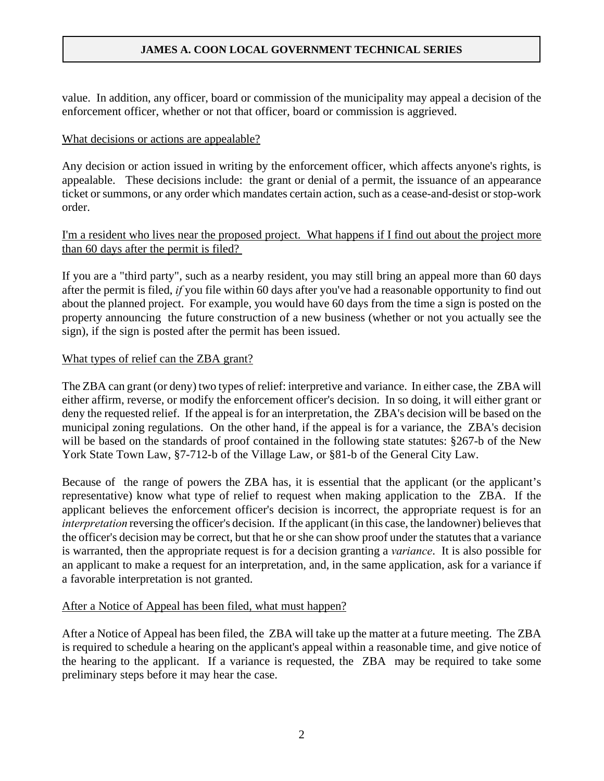value. In addition, any officer, board or commission of the municipality may appeal a decision of the enforcement officer, whether or not that officer, board or commission is aggrieved.

#### What decisions or actions are appealable?

Any decision or action issued in writing by the enforcement officer, which affects anyone's rights, is appealable. These decisions include: the grant or denial of a permit, the issuance of an appearance ticket or summons, or any order which mandates certain action, such as a cease-and-desist or stop-work order.

## I'm a resident who lives near the proposed project. What happens if I find out about the project more than 60 days after the permit is filed?

If you are a "third party", such as a nearby resident, you may still bring an appeal more than 60 days after the permit is filed, *if* you file within 60 days after you've had a reasonable opportunity to find out about the planned project. For example, you would have 60 days from the time a sign is posted on the property announcing the future construction of a new business (whether or not you actually see the sign), if the sign is posted after the permit has been issued.

#### What types of relief can the ZBA grant?

The ZBA can grant (or deny) two types of relief: interpretive and variance. In either case, the ZBA will either affirm, reverse, or modify the enforcement officer's decision. In so doing, it will either grant or deny the requested relief. If the appeal is for an interpretation, the ZBA's decision will be based on the municipal zoning regulations. On the other hand, if the appeal is for a variance, the ZBA's decision will be based on the standards of proof contained in the following state statutes: §267-b of the New York State Town Law, §7-712-b of the Village Law, or §81-b of the General City Law.

Because of the range of powers the ZBA has, it is essential that the applicant (or the applicant's representative) know what type of relief to request when making application to the ZBA. If the applicant believes the enforcement officer's decision is incorrect, the appropriate request is for an *interpretation* reversing the officer's decision. If the applicant (in this case, the landowner) believes that the officer's decision may be correct, but that he or she can show proof under the statutes that a variance is warranted, then the appropriate request is for a decision granting a *variance*. It is also possible for an applicant to make a request for an interpretation, and, in the same application, ask for a variance if a favorable interpretation is not granted.

## After a Notice of Appeal has been filed, what must happen?

After a Notice of Appeal has been filed, the ZBA will take up the matter at a future meeting. The ZBA is required to schedule a hearing on the applicant's appeal within a reasonable time, and give notice of the hearing to the applicant. If a variance is requested, the ZBA may be required to take some preliminary steps before it may hear the case.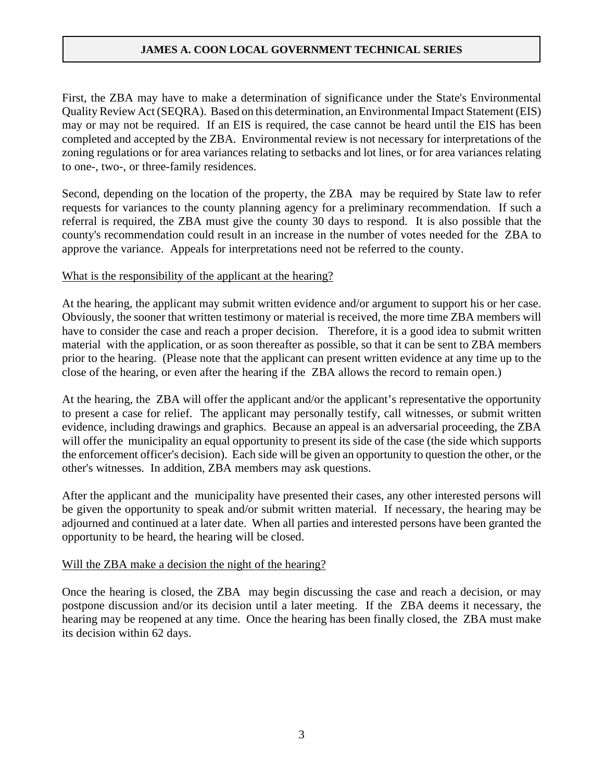First, the ZBA may have to make a determination of significance under the State's Environmental Quality Review Act (SEQRA). Based on this determination, an Environmental Impact Statement (EIS) may or may not be required. If an EIS is required, the case cannot be heard until the EIS has been completed and accepted by the ZBA. Environmental review is not necessary for interpretations of the zoning regulations or for area variances relating to setbacks and lot lines, or for area variances relating to one-, two-, or three-family residences.

Second, depending on the location of the property, the ZBA may be required by State law to refer requests for variances to the county planning agency for a preliminary recommendation. If such a referral is required, the ZBA must give the county 30 days to respond. It is also possible that the county's recommendation could result in an increase in the number of votes needed for the ZBA to approve the variance. Appeals for interpretations need not be referred to the county.

## What is the responsibility of the applicant at the hearing?

At the hearing, the applicant may submit written evidence and/or argument to support his or her case. Obviously, the sooner that written testimony or material is received, the more time ZBA members will have to consider the case and reach a proper decision. Therefore, it is a good idea to submit written material with the application, or as soon thereafter as possible, so that it can be sent to ZBA members prior to the hearing. (Please note that the applicant can present written evidence at any time up to the close of the hearing, or even after the hearing if the ZBA allows the record to remain open.)

At the hearing, the ZBA will offer the applicant and/or the applicant's representative the opportunity to present a case for relief. The applicant may personally testify, call witnesses, or submit written evidence, including drawings and graphics. Because an appeal is an adversarial proceeding, the ZBA will offer the municipality an equal opportunity to present its side of the case (the side which supports the enforcement officer's decision). Each side will be given an opportunity to question the other, or the other's witnesses. In addition, ZBA members may ask questions.

After the applicant and the municipality have presented their cases, any other interested persons will be given the opportunity to speak and/or submit written material. If necessary, the hearing may be adjourned and continued at a later date. When all parties and interested persons have been granted the opportunity to be heard, the hearing will be closed.

## Will the ZBA make a decision the night of the hearing?

Once the hearing is closed, the ZBA may begin discussing the case and reach a decision, or may postpone discussion and/or its decision until a later meeting. If the ZBA deems it necessary, the hearing may be reopened at any time. Once the hearing has been finally closed, the ZBA must make its decision within 62 days.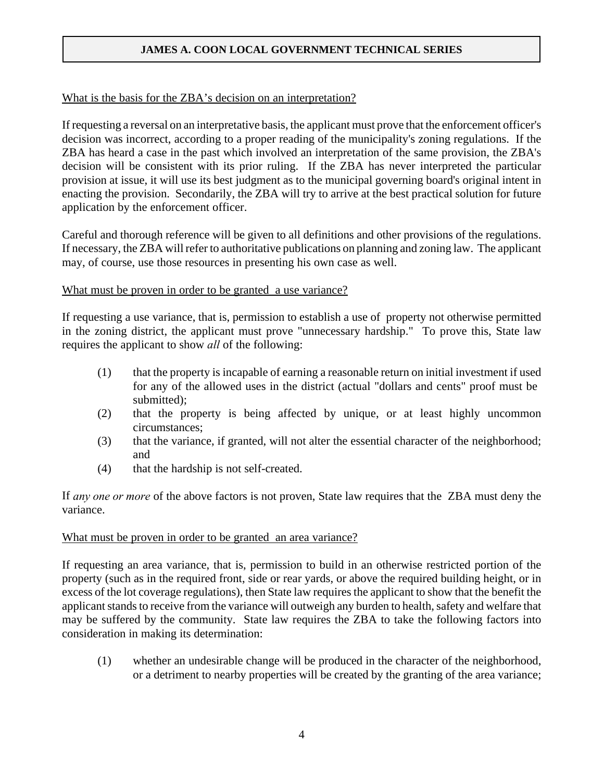## What is the basis for the ZBA's decision on an interpretation?

If requesting a reversal on an interpretative basis, the applicant must prove that the enforcement officer's decision was incorrect, according to a proper reading of the municipality's zoning regulations. If the ZBA has heard a case in the past which involved an interpretation of the same provision, the ZBA's decision will be consistent with its prior ruling. If the ZBA has never interpreted the particular provision at issue, it will use its best judgment as to the municipal governing board's original intent in enacting the provision. Secondarily, the ZBA will try to arrive at the best practical solution for future application by the enforcement officer.

Careful and thorough reference will be given to all definitions and other provisions of the regulations. If necessary, the ZBA will refer to authoritative publications on planning and zoning law. The applicant may, of course, use those resources in presenting his own case as well.

## What must be proven in order to be granted a use variance?

If requesting a use variance, that is, permission to establish a use of property not otherwise permitted in the zoning district, the applicant must prove "unnecessary hardship." To prove this, State law requires the applicant to show *all* of the following:

- (1) that the property is incapable of earning a reasonable return on initial investment if used for any of the allowed uses in the district (actual "dollars and cents" proof must be submitted);
- (2) that the property is being affected by unique, or at least highly uncommon circumstances;
- (3) that the variance, if granted, will not alter the essential character of the neighborhood; and
- (4) that the hardship is not self-created.

If *any one or more* of the above factors is not proven, State law requires that the ZBA must deny the variance.

## What must be proven in order to be granted an area variance?

If requesting an area variance, that is, permission to build in an otherwise restricted portion of the property (such as in the required front, side or rear yards, or above the required building height, or in excess of the lot coverage regulations), then State law requires the applicant to show that the benefit the applicant stands to receive from the variance will outweigh any burden to health, safety and welfare that may be suffered by the community. State law requires the ZBA to take the following factors into consideration in making its determination:

(1) whether an undesirable change will be produced in the character of the neighborhood, or a detriment to nearby properties will be created by the granting of the area variance;